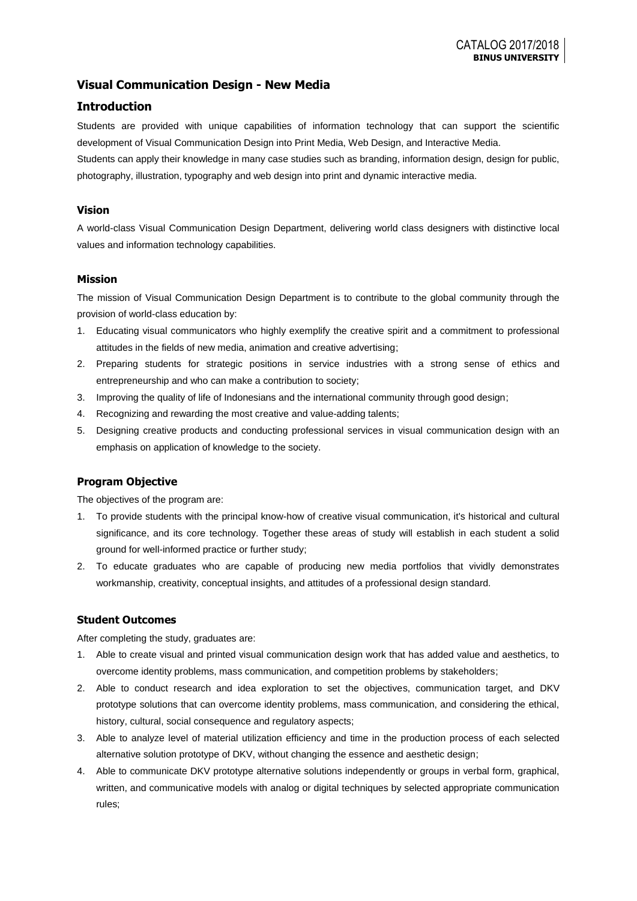## **Visual Communication Design - New Media**

### **Introduction**

Students are provided with unique capabilities of information technology that can support the scientific development of Visual Communication Design into Print Media, Web Design, and Interactive Media.

Students can apply their knowledge in many case studies such as branding, information design, design for public, photography, illustration, typography and web design into print and dynamic interactive media.

### **Vision**

A world-class Visual Communication Design Department, delivering world class designers with distinctive local values and information technology capabilities.

#### **Mission**

The mission of Visual Communication Design Department is to contribute to the global community through the provision of world-class education by:

- 1. Educating visual communicators who highly exemplify the creative spirit and a commitment to professional attitudes in the fields of new media, animation and creative advertising;
- 2. Preparing students for strategic positions in service industries with a strong sense of ethics and entrepreneurship and who can make a contribution to society;
- 3. Improving the quality of life of Indonesians and the international community through good design;
- 4. Recognizing and rewarding the most creative and value-adding talents;
- 5. Designing creative products and conducting professional services in visual communication design with an emphasis on application of knowledge to the society.

### **Program Objective**

The objectives of the program are:

- 1. To provide students with the principal know-how of creative visual communication, it's historical and cultural significance, and its core technology. Together these areas of study will establish in each student a solid ground for well-informed practice or further study;
- 2. To educate graduates who are capable of producing new media portfolios that vividly demonstrates workmanship, creativity, conceptual insights, and attitudes of a professional design standard.

#### **Student Outcomes**

After completing the study, graduates are:

- 1. Able to create visual and printed visual communication design work that has added value and aesthetics, to overcome identity problems, mass communication, and competition problems by stakeholders;
- 2. Able to conduct research and idea exploration to set the objectives, communication target, and DKV prototype solutions that can overcome identity problems, mass communication, and considering the ethical, history, cultural, social consequence and regulatory aspects;
- 3. Able to analyze level of material utilization efficiency and time in the production process of each selected alternative solution prototype of DKV, without changing the essence and aesthetic design;
- 4. Able to communicate DKV prototype alternative solutions independently or groups in verbal form, graphical, written, and communicative models with analog or digital techniques by selected appropriate communication rules;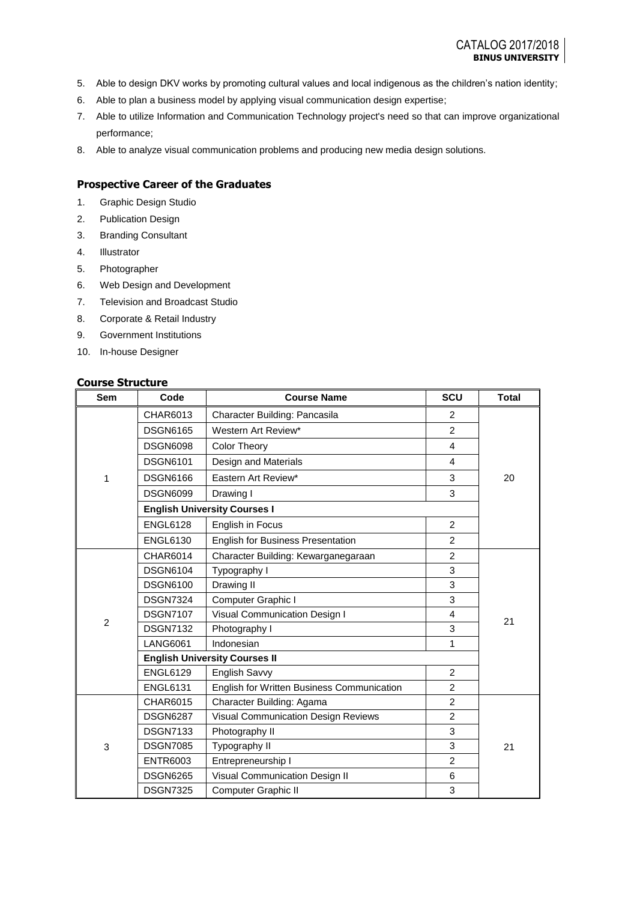- 5. Able to design DKV works by promoting cultural values and local indigenous as the children's nation identity;
- 6. Able to plan a business model by applying visual communication design expertise;
- 7. Able to utilize Information and Communication Technology project's need so that can improve organizational performance;
- 8. Able to analyze visual communication problems and producing new media design solutions.

### **Prospective Career of the Graduates**

- 1. Graphic Design Studio
- 2. Publication Design
- 3. Branding Consultant
- 4. Illustrator
- 5. Photographer
- 6. Web Design and Development
- 7. Television and Broadcast Studio
- 8. Corporate & Retail Industry
- 9. Government Institutions
- 10. In-house Designer

## **Course Structure**

| <b>Sem</b>     | Code                                 | <b>Course Name</b>                         | SCU                     | <b>Total</b> |  |  |
|----------------|--------------------------------------|--------------------------------------------|-------------------------|--------------|--|--|
|                | CHAR6013                             | Character Building: Pancasila              | $\overline{2}$          |              |  |  |
|                | <b>DSGN6165</b>                      | Western Art Review*                        | $\mathcal{P}$           |              |  |  |
|                | <b>DSGN6098</b>                      | <b>Color Theory</b>                        | 4                       |              |  |  |
|                | <b>DSGN6101</b>                      | Design and Materials                       | $\overline{\mathbf{4}}$ |              |  |  |
| 1              | <b>DSGN6166</b>                      | Eastern Art Review*                        | 3                       | 20           |  |  |
|                | <b>DSGN6099</b>                      | Drawing I                                  | 3                       |              |  |  |
|                |                                      | <b>English University Courses I</b>        |                         |              |  |  |
|                | <b>ENGL6128</b>                      | English in Focus                           | 2                       |              |  |  |
|                | <b>ENGL6130</b>                      | <b>English for Business Presentation</b>   | $\overline{2}$          |              |  |  |
|                | CHAR6014                             | Character Building: Kewarganegaraan        | 2                       |              |  |  |
|                | <b>DSGN6104</b>                      | Typography I                               | 3                       |              |  |  |
|                | <b>DSGN6100</b>                      | Drawing II                                 | 3                       |              |  |  |
|                | <b>DSGN7324</b>                      | Computer Graphic I                         | 3                       |              |  |  |
|                | <b>DSGN7107</b>                      | Visual Communication Design I              | 4                       | 21           |  |  |
| $\overline{2}$ | <b>DSGN7132</b>                      | Photography I                              | 3                       |              |  |  |
|                | <b>LANG6061</b>                      | Indonesian                                 |                         |              |  |  |
|                | <b>English University Courses II</b> |                                            |                         |              |  |  |
|                | <b>ENGL6129</b>                      | English Savvy                              | 2                       |              |  |  |
|                | <b>ENGL6131</b>                      | English for Written Business Communication | 2                       |              |  |  |
|                | <b>CHAR6015</b>                      | Character Building: Agama                  | 2                       |              |  |  |
| 3              | <b>DSGN6287</b>                      | Visual Communication Design Reviews        | 2                       |              |  |  |
|                | <b>DSGN7133</b>                      | Photography II                             | 3                       |              |  |  |
|                | <b>DSGN7085</b>                      | Typography II                              | 3                       | 21           |  |  |
|                | <b>ENTR6003</b>                      | Entrepreneurship I                         | $\overline{c}$          |              |  |  |
|                | <b>DSGN6265</b>                      | Visual Communication Design II             | 6                       |              |  |  |
|                | <b>DSGN7325</b>                      | <b>Computer Graphic II</b>                 | 3                       |              |  |  |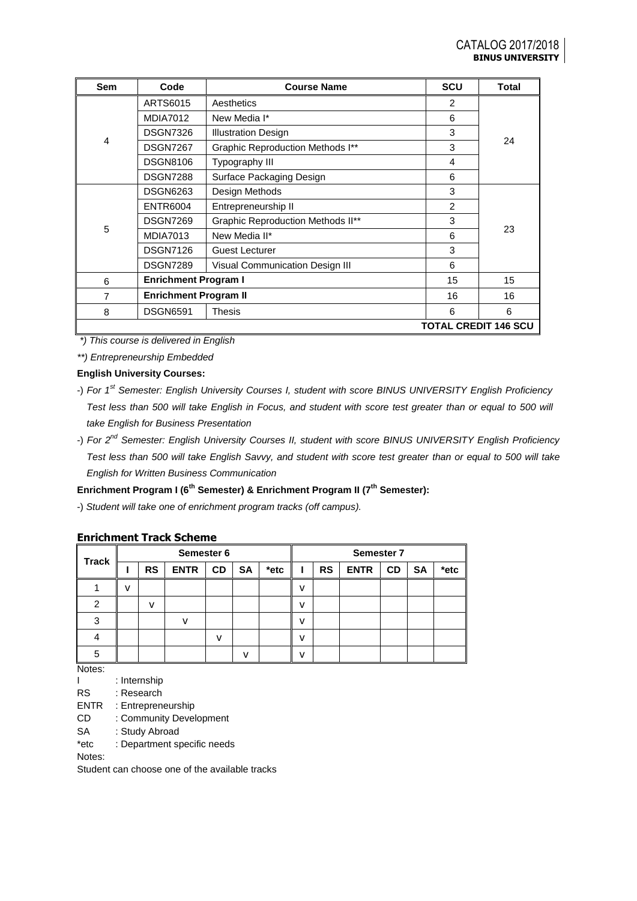| <b>Sem</b>                  | Code                         | <b>Course Name</b>                       | <b>SCU</b>     | <b>Total</b> |  |
|-----------------------------|------------------------------|------------------------------------------|----------------|--------------|--|
|                             | ARTS6015                     | Aesthetics                               | $\overline{2}$ |              |  |
|                             | <b>MDIA7012</b>              | New Media I*                             | 6              |              |  |
|                             | <b>DSGN7326</b>              | <b>Illustration Design</b>               | 3              |              |  |
| 4                           | <b>DSGN7267</b>              | Graphic Reproduction Methods I**         | 3              | 24           |  |
|                             | <b>DSGN8106</b>              | Typography III                           | 4              |              |  |
|                             | <b>DSGN7288</b>              | Surface Packaging Design                 | 6              |              |  |
|                             | <b>DSGN6263</b>              | Design Methods                           | 3              |              |  |
|                             | <b>ENTR6004</b>              | Entrepreneurship II                      | 2              |              |  |
|                             | <b>DSGN7269</b>              | <b>Graphic Reproduction Methods II**</b> | 3              |              |  |
| 5                           | <b>MDIA7013</b>              | New Media II*                            | 6              | 23           |  |
|                             | <b>DSGN7126</b>              | <b>Guest Lecturer</b>                    | 3              |              |  |
|                             | <b>DSGN7289</b>              | <b>Visual Communication Design III</b>   | 6              |              |  |
| 6                           | <b>Enrichment Program I</b>  |                                          | 15             | 15           |  |
| 7                           | <b>Enrichment Program II</b> |                                          | 16             | 16           |  |
| 8                           | <b>DSGN6591</b>              | <b>Thesis</b>                            | 6              | 6            |  |
| <b>TOTAL CREDIT 146 SCU</b> |                              |                                          |                |              |  |

*\*) This course is delivered in English*

*\*\*) Entrepreneurship Embedded*

**English University Courses:**

## **Enrichment Program I (6th Semester) & Enrichment Program II (7th Semester):**

-) *Student will take one of enrichment program tracks (off campus).*

### **Enrichment Track Scheme**

| <b>Track</b> | Semester 6 |           |             |              |             |      | Semester 7 |           |             |           |           |      |
|--------------|------------|-----------|-------------|--------------|-------------|------|------------|-----------|-------------|-----------|-----------|------|
|              |            | <b>RS</b> | <b>ENTR</b> | <b>CD</b>    | SA          | *etc |            | <b>RS</b> | <b>ENTR</b> | <b>CD</b> | <b>SA</b> | *etc |
|              | V          |           |             |              |             |      | v          |           |             |           |           |      |
| っ            |            | v         |             |              |             |      | v          |           |             |           |           |      |
| 3            |            |           |             |              |             |      | v          |           |             |           |           |      |
|              |            |           |             | $\mathbf{v}$ |             |      | v          |           |             |           |           |      |
| 5            |            |           |             |              | $\mathbf v$ |      | v          |           |             |           |           |      |

Notes:

- I : Internship
- RS : Research
- ENTR : Entrepreneurship
- CD : Community Development
- SA : Study Abroad
- \*etc : Department specific needs

Notes:

Student can choose one of the available tracks

<sup>-)</sup> *For 1st Semester: English University Courses I, student with score BINUS UNIVERSITY English Proficiency Test less than 500 will take English in Focus, and student with score test greater than or equal to 500 will take English for Business Presentation*

<sup>-)</sup> *For 2nd Semester: English University Courses II, student with score BINUS UNIVERSITY English Proficiency Test less than 500 will take English Savvy, and student with score test greater than or equal to 500 will take English for Written Business Communication*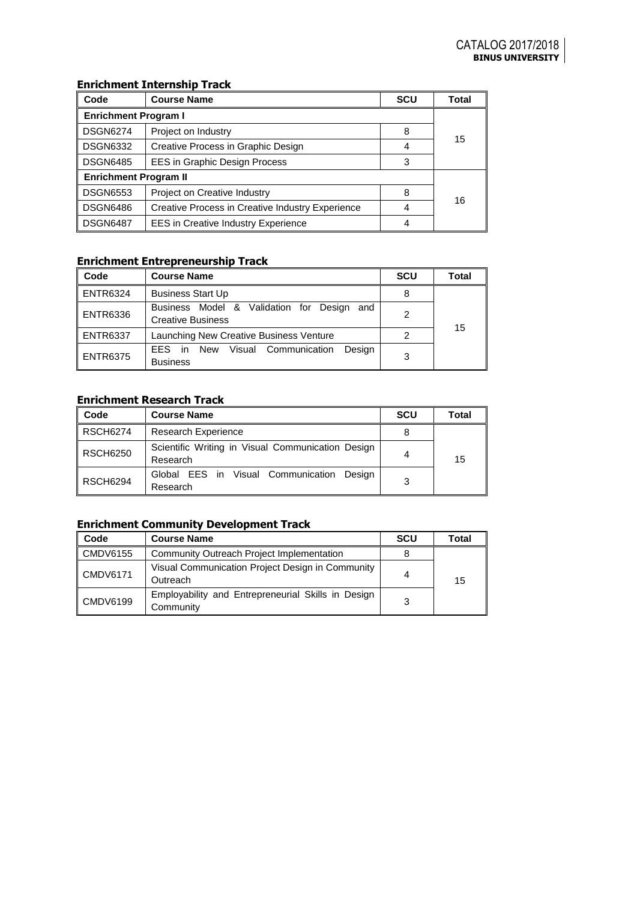### **Enrichment Internship Track**

| Code                         | <b>Course Name</b>                               | <b>SCU</b> | Total |  |  |
|------------------------------|--------------------------------------------------|------------|-------|--|--|
| <b>Enrichment Program I</b>  |                                                  |            |       |  |  |
| <b>DSGN6274</b>              | Project on Industry                              | 8          |       |  |  |
| <b>DSGN6332</b>              | Creative Process in Graphic Design               | 4          | 15    |  |  |
| <b>DSGN6485</b>              | EES in Graphic Design Process                    | 3          |       |  |  |
| <b>Enrichment Program II</b> |                                                  |            |       |  |  |
| <b>DSGN6553</b>              | Project on Creative Industry                     | 8          | 16    |  |  |
| <b>DSGN6486</b>              | Creative Process in Creative Industry Experience | 4          |       |  |  |
| <b>DSGN6487</b>              | <b>EES</b> in Creative Industry Experience       | 4          |       |  |  |

### **Enrichment Entrepreneurship Track**

| Code            | <b>Course Name</b>                                                        | <b>SCU</b> | Total |
|-----------------|---------------------------------------------------------------------------|------------|-------|
| <b>ENTR6324</b> | <b>Business Start Up</b>                                                  | 8          |       |
| <b>ENTR6336</b> | Business Model & Validation for Design<br>and<br><b>Creative Business</b> | 2          |       |
| <b>ENTR6337</b> | Launching New Creative Business Venture                                   | 2          | 15    |
| <b>ENTR6375</b> | Desian<br>Visual Communication<br>EES in New<br><b>Business</b>           | 3          |       |

## **Enrichment Research Track**

| Code            | <b>Course Name</b>                                            | <b>SCU</b> | Total |
|-----------------|---------------------------------------------------------------|------------|-------|
| <b>RSCH6274</b> | <b>Research Experience</b>                                    |            |       |
| <b>RSCH6250</b> | Scientific Writing in Visual Communication Design<br>Research | 4          | 15    |
| <b>RSCH6294</b> | Global EES in Visual Communication<br>Design<br>Research      | 3          |       |

# **Enrichment Community Development Track**

| Code            | <b>Course Name</b>                                              | <b>SCU</b> | Total |
|-----------------|-----------------------------------------------------------------|------------|-------|
| <b>CMDV6155</b> | Community Outreach Project Implementation                       |            |       |
| <b>CMDV6171</b> | Visual Communication Project Design in Community<br>Outreach    | 4          | 15    |
| <b>CMDV6199</b> | Employability and Entrepreneurial Skills in Design<br>Community | 3          |       |